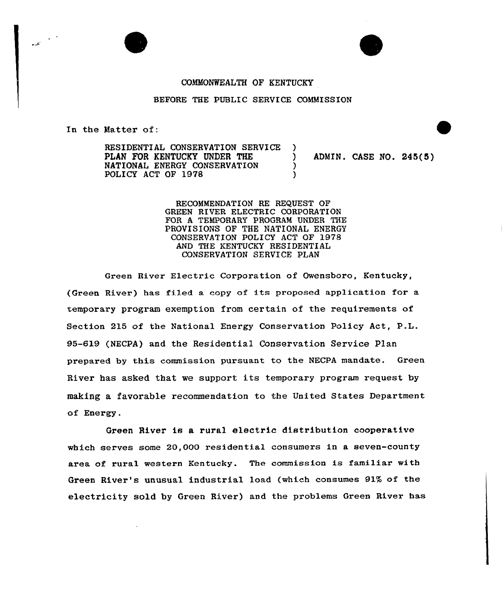

## COMMONWEALTH OF KENTUCKY

## BEFORE THE PUBLIC SERVICE COMMISSION

In the Matter of:

RESIDENTIAL CONSERVATION SERVICE )<br>PLAN FOR KENTUCKY UNDER THE PLAN FOR KENTUCKY UNDER THE ) ADMIN. CASE NO. 245(5) NATIONAL ENERGY CONSERVATION POLICY ACT OF 1978

RECOMMENDATION RE REQUEST OF GREEN RIVER ELECTRIC CORPORATION FOR A TEMPORARY PROGRAM UNDER THE PROVISIONS OF THE NATIONAL ENERGY CONSERVATION POLICY ACT OF 1978 AND THE KENTUCKY RESIDENTIAL CONSERVATION SERVICE PLAN

Green River Electric Corporation of Owensboro, Kentucky, (Green River) has filed a copy of its proposed application for a temporary program exemption from certain of the requirements of Section 215 of the National Energy Conservation Policy Act, P.L. 95-619 (NECPA) and the Residential Conservation Service Plan prepared by this commission pursuant to the NECPA mandate. Green River has asked that we support its temporary program request by making a favorable recommendation to the United States Department of Energy.

Green River is a rural electric distribution coopexative which serves some 20,000 residential consumers in a seven-county area of rural western Kentucky. The commission is familiar with Green River's unusual industrial load (which consumes 91% of the electricity sold by Green River) and the problems Green River has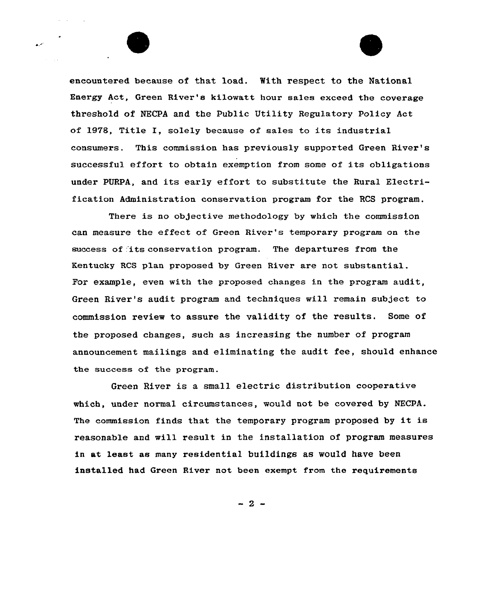

encountered because of that load. With respect to the National Energy Act, Green River's kilowatt hour sales exceed the coverage threshold of NECPA and the Public Utility Regulatory Policy Act of 1978, Title I, solely because of sales to its industrial consumers. This commission has previously supported Green River's successful effort to obtain exemption from some of its obligations under PURPA, and its early effort to substitute the Rural Electrification Administration conservation program for the RCS program.

There is no objective methodology by which the commission can measure the effect of Green River's temporary program on the success of its conservation program. The departures from the Kentucky RCS plan proposed by Green River are not substantial. For example, even with the proposed changes in the program audit, Green River's audit program and techniques will remain subject to commission review to assure the validity of the results. Some of the proposed changes, such as increasing the number of program announcement mailings and eliminating the audit fee, should enhance the success of the program.

Green River is a small electric distribution cooperative which, under normal circumstances, would not be covered by NECPA. The commission finds that the temporary program proposed by it is reasonable and will result in the installation of program measures in at least as many residential buildings as would have been installed had Green River not been exempt from the requirements

 $-2-$